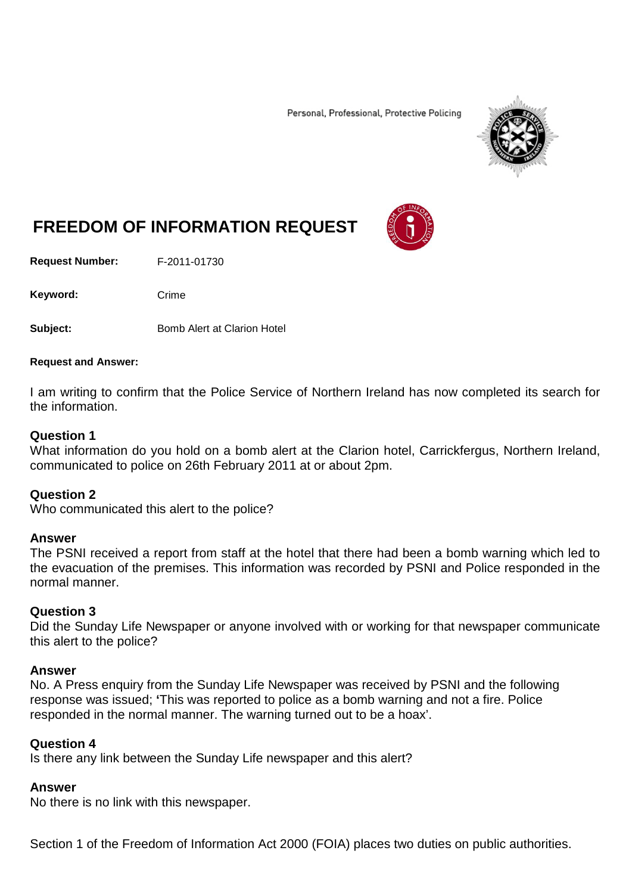Personal, Professional, Protective Policing



# **FREEDOM OF INFORMATION REQUEST**

**Request Number:** F-2011-01730

Keyword: Crime

**Subject:** Bomb Alert at Clarion Hotel

#### **Request and Answer:**

I am writing to confirm that the Police Service of Northern Ireland has now completed its search for the information.

## **Question 1**

What information do you hold on a bomb alert at the Clarion hotel, Carrickfergus, Northern Ireland, communicated to police on 26th February 2011 at or about 2pm.

## **Question 2**

Who communicated this alert to the police?

## **Answer**

The PSNI received a report from staff at the hotel that there had been a bomb warning which led to the evacuation of the premises. This information was recorded by PSNI and Police responded in the normal manner.

## **Question 3**

Did the Sunday Life Newspaper or anyone involved with or working for that newspaper communicate this alert to the police?

## **Answer**

No. A Press enquiry from the Sunday Life Newspaper was received by PSNI and the following response was issued; **'**This was reported to police as a bomb warning and not a fire. Police responded in the normal manner. The warning turned out to be a hoax'.

## **Question 4**

Is there any link between the Sunday Life newspaper and this alert?

## **Answer**

No there is no link with this newspaper.

Section 1 of the Freedom of Information Act 2000 (FOIA) places two duties on public authorities.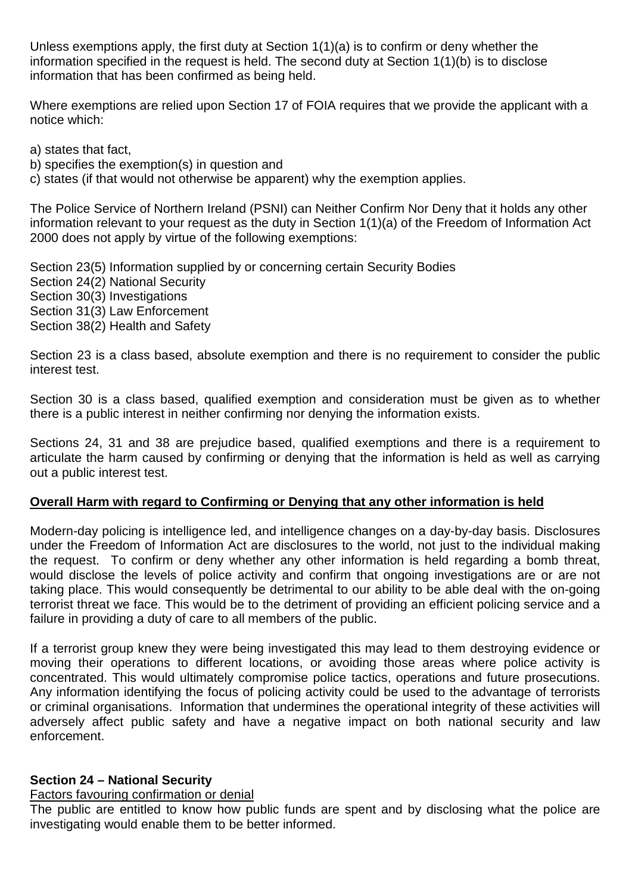Unless exemptions apply, the first duty at Section 1(1)(a) is to confirm or deny whether the information specified in the request is held. The second duty at Section 1(1)(b) is to disclose information that has been confirmed as being held.

Where exemptions are relied upon Section 17 of FOIA requires that we provide the applicant with a notice which:

a) states that fact,

b) specifies the exemption(s) in question and

c) states (if that would not otherwise be apparent) why the exemption applies.

The Police Service of Northern Ireland (PSNI) can Neither Confirm Nor Deny that it holds any other information relevant to your request as the duty in Section 1(1)(a) of the Freedom of Information Act 2000 does not apply by virtue of the following exemptions:

Section 23(5) Information supplied by or concerning certain Security Bodies Section 24(2) National Security Section 30(3) Investigations Section 31(3) Law Enforcement Section 38(2) Health and Safety

Section 23 is a class based, absolute exemption and there is no requirement to consider the public interest test.

Section 30 is a class based, qualified exemption and consideration must be given as to whether there is a public interest in neither confirming nor denying the information exists.

Sections 24, 31 and 38 are prejudice based, qualified exemptions and there is a requirement to articulate the harm caused by confirming or denying that the information is held as well as carrying out a public interest test.

## **Overall Harm with regard to Confirming or Denying that any other information is held**

Modern-day policing is intelligence led, and intelligence changes on a day-by-day basis. Disclosures under the Freedom of Information Act are disclosures to the world, not just to the individual making the request. To confirm or deny whether any other information is held regarding a bomb threat, would disclose the levels of police activity and confirm that ongoing investigations are or are not taking place. This would consequently be detrimental to our ability to be able deal with the on-going terrorist threat we face. This would be to the detriment of providing an efficient policing service and a failure in providing a duty of care to all members of the public.

If a terrorist group knew they were being investigated this may lead to them destroying evidence or moving their operations to different locations, or avoiding those areas where police activity is concentrated. This would ultimately compromise police tactics, operations and future prosecutions. Any information identifying the focus of policing activity could be used to the advantage of terrorists or criminal organisations. Information that undermines the operational integrity of these activities will adversely affect public safety and have a negative impact on both national security and law enforcement.

## **Section 24 – National Security**

# Factors favouring confirmation or denial

The public are entitled to know how public funds are spent and by disclosing what the police are investigating would enable them to be better informed.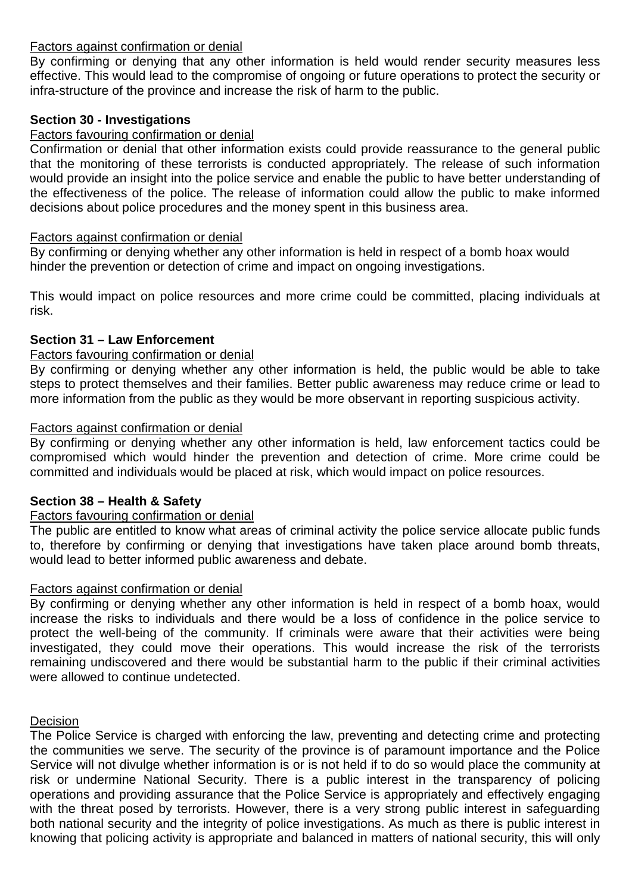## Factors against confirmation or denial

By confirming or denying that any other information is held would render security measures less effective. This would lead to the compromise of ongoing or future operations to protect the security or infra-structure of the province and increase the risk of harm to the public.

## **Section 30 - Investigations**

# Factors favouring confirmation or denial

Confirmation or denial that other information exists could provide reassurance to the general public that the monitoring of these terrorists is conducted appropriately. The release of such information would provide an insight into the police service and enable the public to have better understanding of the effectiveness of the police. The release of information could allow the public to make informed decisions about police procedures and the money spent in this business area.

# Factors against confirmation or denial

By confirming or denying whether any other information is held in respect of a bomb hoax would hinder the prevention or detection of crime and impact on ongoing investigations.

This would impact on police resources and more crime could be committed, placing individuals at risk.

# **Section 31 – Law Enforcement**

# Factors favouring confirmation or denial

By confirming or denying whether any other information is held, the public would be able to take steps to protect themselves and their families. Better public awareness may reduce crime or lead to more information from the public as they would be more observant in reporting suspicious activity.

# Factors against confirmation or denial

By confirming or denying whether any other information is held, law enforcement tactics could be compromised which would hinder the prevention and detection of crime. More crime could be committed and individuals would be placed at risk, which would impact on police resources.

# **Section 38 – Health & Safety**

# Factors favouring confirmation or denial

The public are entitled to know what areas of criminal activity the police service allocate public funds to, therefore by confirming or denying that investigations have taken place around bomb threats, would lead to better informed public awareness and debate.

# Factors against confirmation or denial

By confirming or denying whether any other information is held in respect of a bomb hoax, would increase the risks to individuals and there would be a loss of confidence in the police service to protect the well-being of the community. If criminals were aware that their activities were being investigated, they could move their operations. This would increase the risk of the terrorists remaining undiscovered and there would be substantial harm to the public if their criminal activities were allowed to continue undetected.

# Decision

The Police Service is charged with enforcing the law, preventing and detecting crime and protecting the communities we serve. The security of the province is of paramount importance and the Police Service will not divulge whether information is or is not held if to do so would place the community at risk or undermine National Security. There is a public interest in the transparency of policing operations and providing assurance that the Police Service is appropriately and effectively engaging with the threat posed by terrorists. However, there is a very strong public interest in safeguarding both national security and the integrity of police investigations. As much as there is public interest in knowing that policing activity is appropriate and balanced in matters of national security, this will only